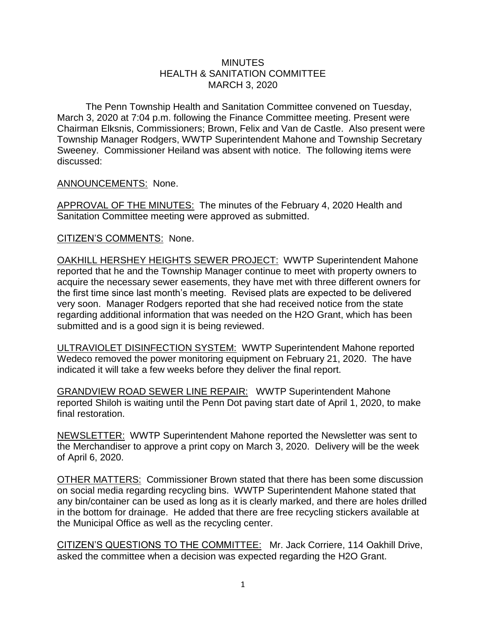## **MINUTES** HEALTH & SANITATION COMMITTEE MARCH 3, 2020

The Penn Township Health and Sanitation Committee convened on Tuesday, March 3, 2020 at 7:04 p.m. following the Finance Committee meeting. Present were Chairman Elksnis, Commissioners; Brown, Felix and Van de Castle. Also present were Township Manager Rodgers, WWTP Superintendent Mahone and Township Secretary Sweeney. Commissioner Heiland was absent with notice. The following items were discussed:

ANNOUNCEMENTS: None.

APPROVAL OF THE MINUTES: The minutes of the February 4, 2020 Health and Sanitation Committee meeting were approved as submitted.

CITIZEN'S COMMENTS: None.

OAKHILL HERSHEY HEIGHTS SEWER PROJECT: WWTP Superintendent Mahone reported that he and the Township Manager continue to meet with property owners to acquire the necessary sewer easements, they have met with three different owners for the first time since last month's meeting. Revised plats are expected to be delivered very soon. Manager Rodgers reported that she had received notice from the state regarding additional information that was needed on the H2O Grant, which has been submitted and is a good sign it is being reviewed.

ULTRAVIOLET DISINFECTION SYSTEM: WWTP Superintendent Mahone reported Wedeco removed the power monitoring equipment on February 21, 2020. The have indicated it will take a few weeks before they deliver the final report.

GRANDVIEW ROAD SEWER LINE REPAIR: WWTP Superintendent Mahone reported Shiloh is waiting until the Penn Dot paving start date of April 1, 2020, to make final restoration.

NEWSLETTER: WWTP Superintendent Mahone reported the Newsletter was sent to the Merchandiser to approve a print copy on March 3, 2020. Delivery will be the week of April 6, 2020.

OTHER MATTERS: Commissioner Brown stated that there has been some discussion on social media regarding recycling bins. WWTP Superintendent Mahone stated that any bin/container can be used as long as it is clearly marked, and there are holes drilled in the bottom for drainage. He added that there are free recycling stickers available at the Municipal Office as well as the recycling center.

CITIZEN'S QUESTIONS TO THE COMMITTEE: Mr. Jack Corriere, 114 Oakhill Drive, asked the committee when a decision was expected regarding the H2O Grant.